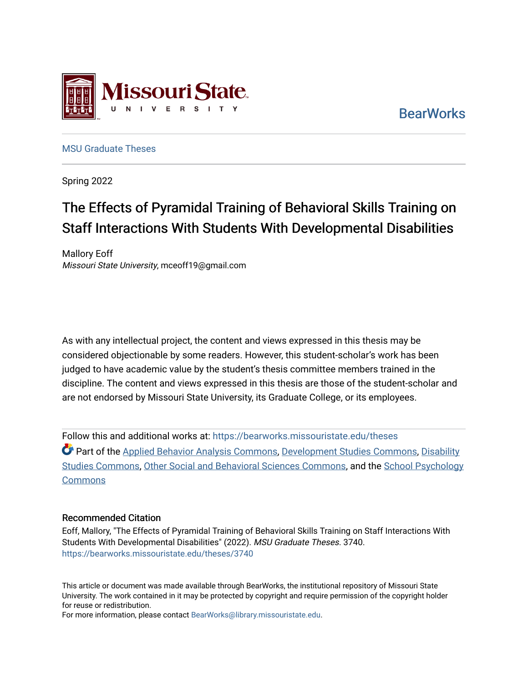

**BearWorks** 

[MSU Graduate Theses](https://bearworks.missouristate.edu/theses) 

Spring 2022

# The Effects of Pyramidal Training of Behavioral Skills Training on Staff Interactions With Students With Developmental Disabilities

Mallory Eoff Missouri State University, mceoff19@gmail.com

As with any intellectual project, the content and views expressed in this thesis may be considered objectionable by some readers. However, this student-scholar's work has been judged to have academic value by the student's thesis committee members trained in the discipline. The content and views expressed in this thesis are those of the student-scholar and are not endorsed by Missouri State University, its Graduate College, or its employees.

Follow this and additional works at: [https://bearworks.missouristate.edu/theses](https://bearworks.missouristate.edu/theses?utm_source=bearworks.missouristate.edu%2Ftheses%2F3740&utm_medium=PDF&utm_campaign=PDFCoverPages)  Part of the [Applied Behavior Analysis Commons,](https://network.bepress.com/hgg/discipline/1235?utm_source=bearworks.missouristate.edu%2Ftheses%2F3740&utm_medium=PDF&utm_campaign=PDFCoverPages) [Development Studies Commons,](https://network.bepress.com/hgg/discipline/1422?utm_source=bearworks.missouristate.edu%2Ftheses%2F3740&utm_medium=PDF&utm_campaign=PDFCoverPages) [Disability](https://network.bepress.com/hgg/discipline/1417?utm_source=bearworks.missouristate.edu%2Ftheses%2F3740&utm_medium=PDF&utm_campaign=PDFCoverPages) [Studies Commons](https://network.bepress.com/hgg/discipline/1417?utm_source=bearworks.missouristate.edu%2Ftheses%2F3740&utm_medium=PDF&utm_campaign=PDFCoverPages), [Other Social and Behavioral Sciences Commons](https://network.bepress.com/hgg/discipline/437?utm_source=bearworks.missouristate.edu%2Ftheses%2F3740&utm_medium=PDF&utm_campaign=PDFCoverPages), and the [School Psychology](https://network.bepress.com/hgg/discipline/1072?utm_source=bearworks.missouristate.edu%2Ftheses%2F3740&utm_medium=PDF&utm_campaign=PDFCoverPages)  **Commons** 

#### Recommended Citation

Eoff, Mallory, "The Effects of Pyramidal Training of Behavioral Skills Training on Staff Interactions With Students With Developmental Disabilities" (2022). MSU Graduate Theses. 3740. [https://bearworks.missouristate.edu/theses/3740](https://bearworks.missouristate.edu/theses/3740?utm_source=bearworks.missouristate.edu%2Ftheses%2F3740&utm_medium=PDF&utm_campaign=PDFCoverPages) 

This article or document was made available through BearWorks, the institutional repository of Missouri State University. The work contained in it may be protected by copyright and require permission of the copyright holder for reuse or redistribution.

For more information, please contact [BearWorks@library.missouristate.edu.](mailto:BearWorks@library.missouristate.edu)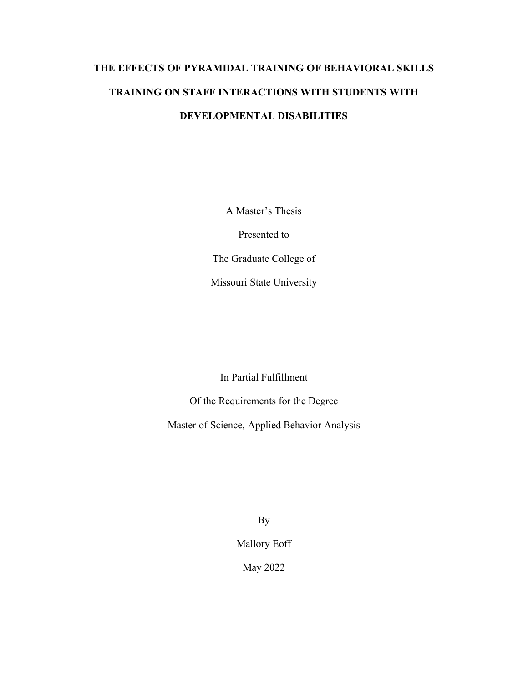# **THE EFFECTS OF PYRAMIDAL TRAINING OF BEHAVIORAL SKILLS TRAINING ON STAFF INTERACTIONS WITH STUDENTS WITH DEVELOPMENTAL DISABILITIES**

A Master's Thesis

Presented to

The Graduate College of

Missouri State University

In Partial Fulfillment

Of the Requirements for the Degree

Master of Science, Applied Behavior Analysis

By

Mallory Eoff

May 2022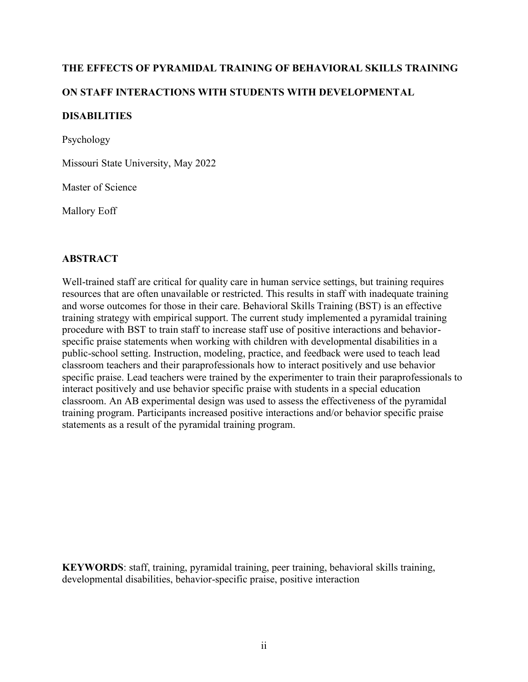### **THE EFFECTS OF PYRAMIDAL TRAINING OF BEHAVIORAL SKILLS TRAINING**

### **ON STAFF INTERACTIONS WITH STUDENTS WITH DEVELOPMENTAL**

#### **DISABILITIES**

Psychology

Missouri State University, May 2022

Master of Science

Mallory Eoff

#### **ABSTRACT**

Well-trained staff are critical for quality care in human service settings, but training requires resources that are often unavailable or restricted. This results in staff with inadequate training and worse outcomes for those in their care. Behavioral Skills Training (BST) is an effective training strategy with empirical support. The current study implemented a pyramidal training procedure with BST to train staff to increase staff use of positive interactions and behaviorspecific praise statements when working with children with developmental disabilities in a public-school setting. Instruction, modeling, practice, and feedback were used to teach lead classroom teachers and their paraprofessionals how to interact positively and use behavior specific praise. Lead teachers were trained by the experimenter to train their paraprofessionals to interact positively and use behavior specific praise with students in a special education classroom. An AB experimental design was used to assess the effectiveness of the pyramidal training program. Participants increased positive interactions and/or behavior specific praise statements as a result of the pyramidal training program.

**KEYWORDS**: staff, training, pyramidal training, peer training, behavioral skills training, developmental disabilities, behavior-specific praise, positive interaction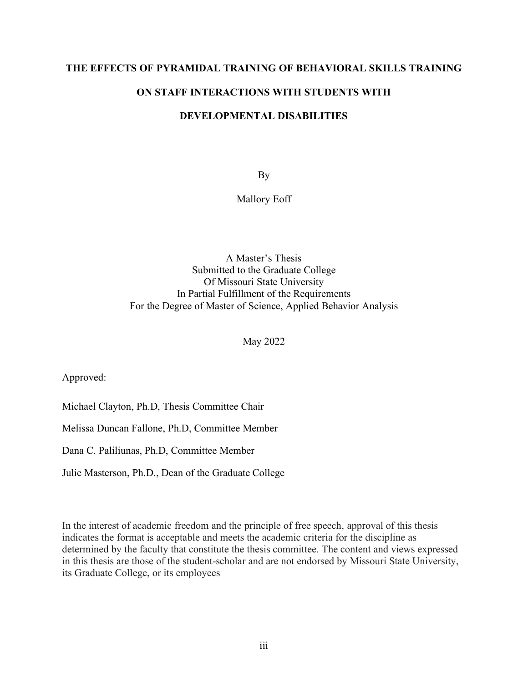#### **THE EFFECTS OF PYRAMIDAL TRAINING OF BEHAVIORAL SKILLS TRAINING**

### **ON STAFF INTERACTIONS WITH STUDENTS WITH**

#### **DEVELOPMENTAL DISABILITIES**

By

Mallory Eoff

A Master's Thesis Submitted to the Graduate College Of Missouri State University In Partial Fulfillment of the Requirements For the Degree of Master of Science, Applied Behavior Analysis

May 2022

Approved:

Michael Clayton, Ph.D, Thesis Committee Chair

Melissa Duncan Fallone, Ph.D, Committee Member

Dana C. Paliliunas, Ph.D, Committee Member

Julie Masterson, Ph.D., Dean of the Graduate College

In the interest of academic freedom and the principle of free speech, approval of this thesis indicates the format is acceptable and meets the academic criteria for the discipline as determined by the faculty that constitute the thesis committee. The content and views expressed in this thesis are those of the student-scholar and are not endorsed by Missouri State University, its Graduate College, or its employees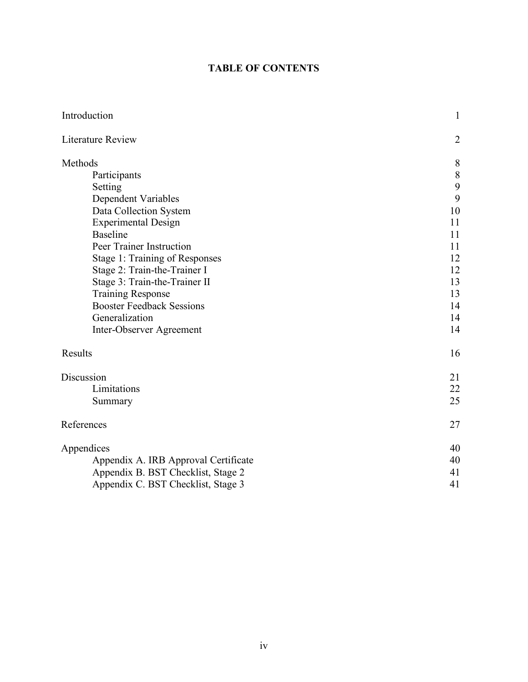### **TABLE OF CONTENTS**

| Introduction                         | $\mathbf{1}$   |
|--------------------------------------|----------------|
| <b>Literature Review</b>             | $\overline{2}$ |
| Methods                              | 8              |
| Participants                         | 8              |
| Setting                              | 9              |
| Dependent Variables                  | 9              |
| Data Collection System               | 10             |
| <b>Experimental Design</b>           | 11             |
| <b>Baseline</b>                      | 11             |
| Peer Trainer Instruction             | 11             |
| Stage 1: Training of Responses       | 12             |
| Stage 2: Train-the-Trainer I         | 12             |
| Stage 3: Train-the-Trainer II        | 13             |
| <b>Training Response</b>             | 13             |
| <b>Booster Feedback Sessions</b>     | 14             |
| Generalization                       | 14             |
| Inter-Observer Agreement             | 14             |
| Results                              | 16             |
| Discussion                           | 21             |
| Limitations                          | 22             |
| Summary                              | 25             |
| References                           | 27             |
| Appendices                           | 40             |
| Appendix A. IRB Approval Certificate | 40             |
| Appendix B. BST Checklist, Stage 2   | 41             |
| Appendix C. BST Checklist, Stage 3   | 41             |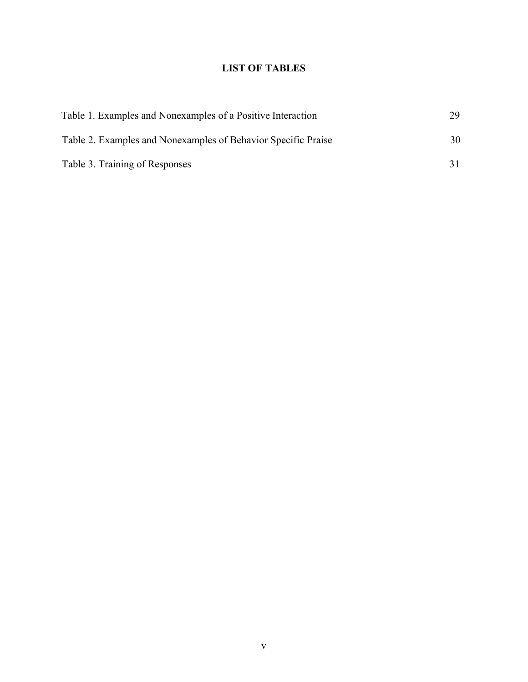### **LIST OF TABLES**

| Table 1. Examples and Nonexamples of a Positive Interaction   | 29 |
|---------------------------------------------------------------|----|
| Table 2. Examples and Nonexamples of Behavior Specific Praise | 30 |
| Table 3. Training of Responses                                |    |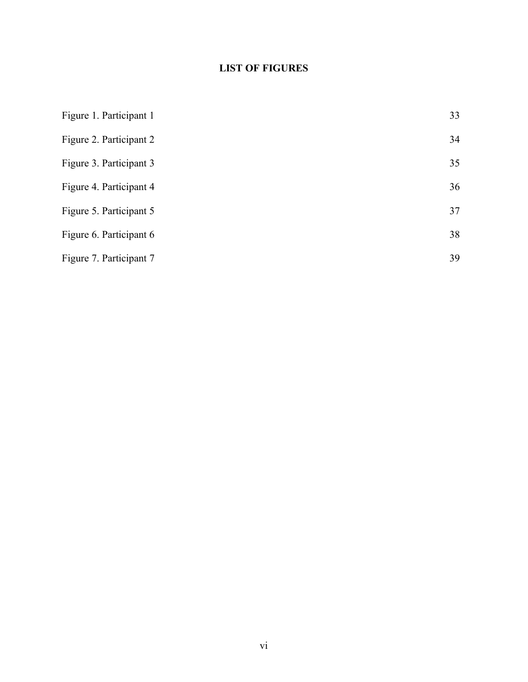### **LIST OF FIGURES**

| Figure 1. Participant 1 | 33 |
|-------------------------|----|
| Figure 2. Participant 2 | 34 |
| Figure 3. Participant 3 | 35 |
| Figure 4. Participant 4 | 36 |
| Figure 5. Participant 5 | 37 |
| Figure 6. Participant 6 | 38 |
| Figure 7. Participant 7 | 39 |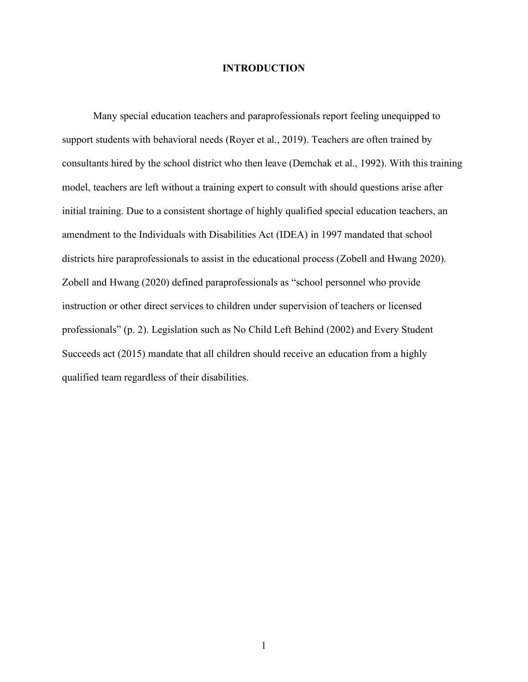#### **INTRODUCTION**

Many special education teachers and paraprofessionals report feeling unequipped to support students with behavioral needs (Royer et al., 2019). Teachers are often trained by consultants hired by the school district who then leave (Demchak et al., 1992). With this training model, teachers are left without a training expert to consult with should questions arise after initial training. Due to a consistent shortage of highly qualified special education teachers, an amendment to the Individuals with Disabilities Act (IDEA) in 1997 mandated that school districts hire paraprofessionals to assist in the educational process (Zobell and Hwang 2020). Zobell and Hwang (2020) defined paraprofessionals as "school personnel who provide instruction or other direct services to children under supervision of teachers or licensed professionals" (p. 2). Legislation such as No Child Left Behind (2002) and Every Student Succeeds act (2015) mandate that all children should receive an education from a highly qualified team regardless of their disabilities.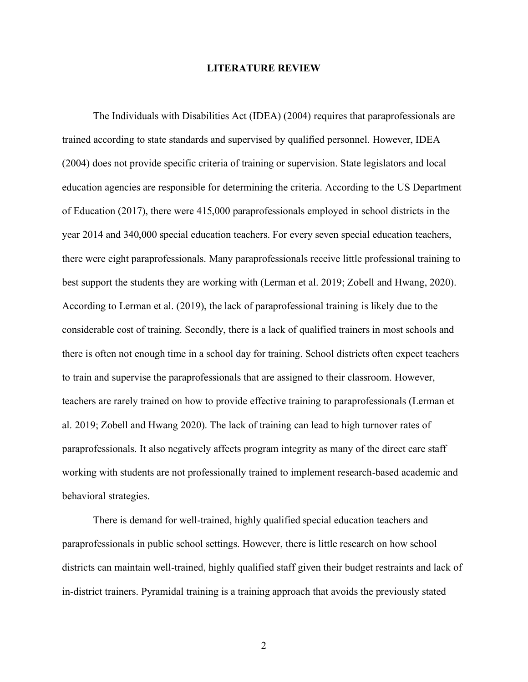#### **LITERATURE REVIEW**

The Individuals with Disabilities Act (IDEA) (2004) requires that paraprofessionals are trained according to state standards and supervised by qualified personnel. However, IDEA (2004) does not provide specific criteria of training or supervision. State legislators and local education agencies are responsible for determining the criteria. According to the US Department of Education (2017), there were 415,000 paraprofessionals employed in school districts in the year 2014 and 340,000 special education teachers. For every seven special education teachers, there were eight paraprofessionals. Many paraprofessionals receive little professional training to best support the students they are working with (Lerman et al. 2019; Zobell and Hwang, 2020). According to Lerman et al. (2019), the lack of paraprofessional training is likely due to the considerable cost of training. Secondly, there is a lack of qualified trainers in most schools and there is often not enough time in a school day for training. School districts often expect teachers to train and supervise the paraprofessionals that are assigned to their classroom. However, teachers are rarely trained on how to provide effective training to paraprofessionals (Lerman et al. 2019; Zobell and Hwang 2020). The lack of training can lead to high turnover rates of paraprofessionals. It also negatively affects program integrity as many of the direct care staff working with students are not professionally trained to implement research-based academic and behavioral strategies.

There is demand for well-trained, highly qualified special education teachers and paraprofessionals in public school settings. However, there is little research on how school districts can maintain well-trained, highly qualified staff given their budget restraints and lack of in-district trainers. Pyramidal training is a training approach that avoids the previously stated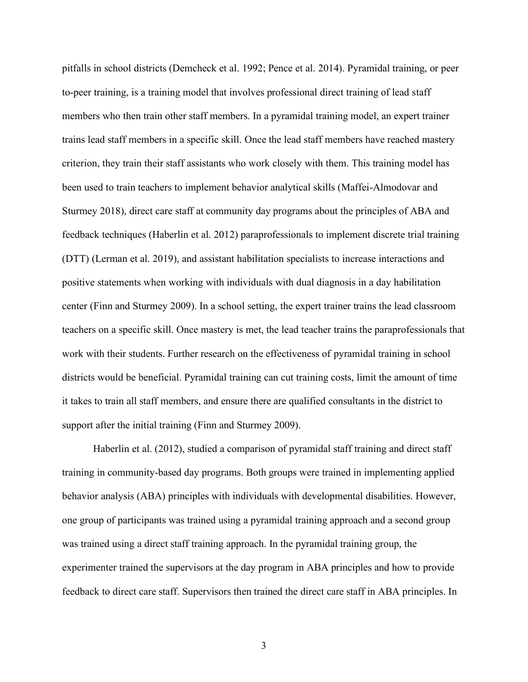pitfalls in school districts (Demcheck et al. 1992; Pence et al. 2014). Pyramidal training, or peer to-peer training, is a training model that involves professional direct training of lead staff members who then train other staff members. In a pyramidal training model, an expert trainer trains lead staff members in a specific skill. Once the lead staff members have reached mastery criterion, they train their staff assistants who work closely with them. This training model has been used to train teachers to implement behavior analytical skills (Maffei-Almodovar and Sturmey 2018), direct care staff at community day programs about the principles of ABA and feedback techniques (Haberlin et al. 2012) paraprofessionals to implement discrete trial training (DTT) (Lerman et al. 2019), and assistant habilitation specialists to increase interactions and positive statements when working with individuals with dual diagnosis in a day habilitation center (Finn and Sturmey 2009). In a school setting, the expert trainer trains the lead classroom teachers on a specific skill. Once mastery is met, the lead teacher trains the paraprofessionals that work with their students. Further research on the effectiveness of pyramidal training in school districts would be beneficial. Pyramidal training can cut training costs, limit the amount of time it takes to train all staff members, and ensure there are qualified consultants in the district to support after the initial training (Finn and Sturmey 2009).

Haberlin et al. (2012), studied a comparison of pyramidal staff training and direct staff training in community-based day programs. Both groups were trained in implementing applied behavior analysis (ABA) principles with individuals with developmental disabilities. However, one group of participants was trained using a pyramidal training approach and a second group was trained using a direct staff training approach. In the pyramidal training group, the experimenter trained the supervisors at the day program in ABA principles and how to provide feedback to direct care staff. Supervisors then trained the direct care staff in ABA principles. In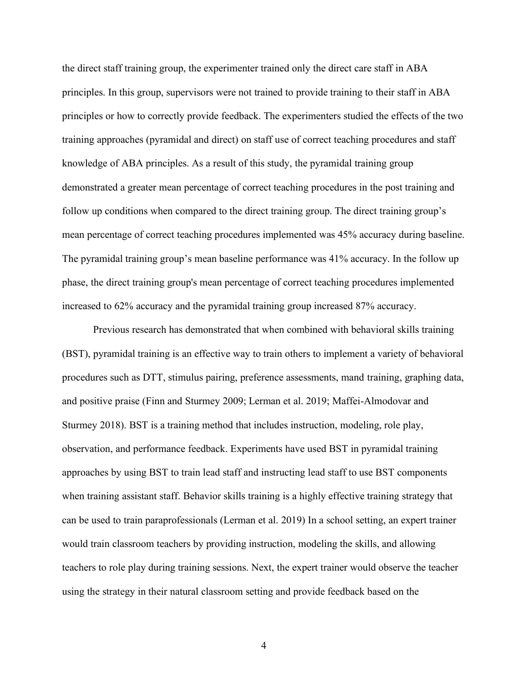the direct staff training group, the experimenter trained only the direct care staff in ABA principles. In this group, supervisors were not trained to provide training to their staff in ABA principles or how to correctly provide feedback. The experimenters studied the effects of the two training approaches (pyramidal and direct) on staff use of correct teaching procedures and staff knowledge of ABA principles. As a result of this study, the pyramidal training group demonstrated a greater mean percentage of correct teaching procedures in the post training and follow up conditions when compared to the direct training group. The direct training group's mean percentage of correct teaching procedures implemented was 45% accuracy during baseline. The pyramidal training group's mean baseline performance was 41% accuracy. In the follow up phase, the direct training group's mean percentage of correct teaching procedures implemented increased to 62% accuracy and the pyramidal training group increased 87% accuracy.

Previous research has demonstrated that when combined with behavioral skills training (BST), pyramidal training is an effective way to train others to implement a variety of behavioral procedures such as DTT, stimulus pairing, preference assessments, mand training, graphing data, and positive praise (Finn and Sturmey 2009; Lerman et al. 2019; Maffei-Almodovar and Sturmey 2018). BST is a training method that includes instruction, modeling, role play, observation, and performance feedback. Experiments have used BST in pyramidal training approaches by using BST to train lead staff and instructing lead staff to use BST components when training assistant staff. Behavior skills training is a highly effective training strategy that can be used to train paraprofessionals (Lerman et al. 2019) In a school setting, an expert trainer would train classroom teachers by providing instruction, modeling the skills, and allowing teachers to role play during training sessions. Next, the expert trainer would observe the teacher using the strategy in their natural classroom setting and provide feedback based on the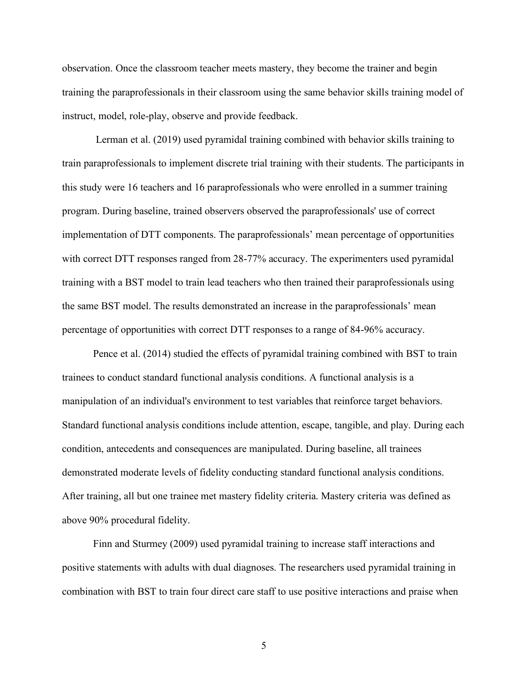observation. Once the classroom teacher meets mastery, they become the trainer and begin training the paraprofessionals in their classroom using the same behavior skills training model of instruct, model, role-play, observe and provide feedback.

Lerman et al. (2019) used pyramidal training combined with behavior skills training to train paraprofessionals to implement discrete trial training with their students. The participants in this study were 16 teachers and 16 paraprofessionals who were enrolled in a summer training program. During baseline, trained observers observed the paraprofessionals' use of correct implementation of DTT components. The paraprofessionals' mean percentage of opportunities with correct DTT responses ranged from 28-77% accuracy. The experimenters used pyramidal training with a BST model to train lead teachers who then trained their paraprofessionals using the same BST model. The results demonstrated an increase in the paraprofessionals' mean percentage of opportunities with correct DTT responses to a range of 84-96% accuracy.

Pence et al. (2014) studied the effects of pyramidal training combined with BST to train trainees to conduct standard functional analysis conditions. A functional analysis is a manipulation of an individual's environment to test variables that reinforce target behaviors. Standard functional analysis conditions include attention, escape, tangible, and play. During each condition, antecedents and consequences are manipulated. During baseline, all trainees demonstrated moderate levels of fidelity conducting standard functional analysis conditions. After training, all but one trainee met mastery fidelity criteria. Mastery criteria was defined as above 90% procedural fidelity.

Finn and Sturmey (2009) used pyramidal training to increase staff interactions and positive statements with adults with dual diagnoses. The researchers used pyramidal training in combination with BST to train four direct care staff to use positive interactions and praise when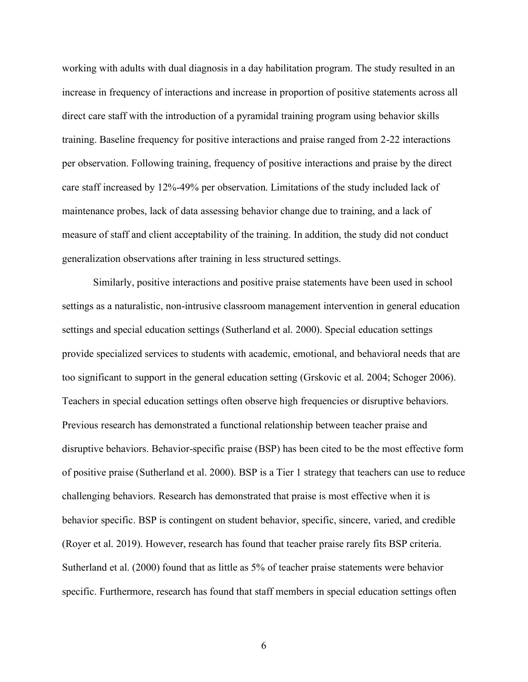working with adults with dual diagnosis in a day habilitation program. The study resulted in an increase in frequency of interactions and increase in proportion of positive statements across all direct care staff with the introduction of a pyramidal training program using behavior skills training. Baseline frequency for positive interactions and praise ranged from 2-22 interactions per observation. Following training, frequency of positive interactions and praise by the direct care staff increased by 12%-49% per observation. Limitations of the study included lack of maintenance probes, lack of data assessing behavior change due to training, and a lack of measure of staff and client acceptability of the training. In addition, the study did not conduct generalization observations after training in less structured settings.

Similarly, positive interactions and positive praise statements have been used in school settings as a naturalistic, non-intrusive classroom management intervention in general education settings and special education settings (Sutherland et al. 2000). Special education settings provide specialized services to students with academic, emotional, and behavioral needs that are too significant to support in the general education setting (Grskovic et al. 2004; Schoger 2006). Teachers in special education settings often observe high frequencies or disruptive behaviors. Previous research has demonstrated a functional relationship between teacher praise and disruptive behaviors. Behavior-specific praise (BSP) has been cited to be the most effective form of positive praise (Sutherland et al. 2000). BSP is a Tier 1 strategy that teachers can use to reduce challenging behaviors. Research has demonstrated that praise is most effective when it is behavior specific. BSP is contingent on student behavior, specific, sincere, varied, and credible (Royer et al. 2019). However, research has found that teacher praise rarely fits BSP criteria. Sutherland et al. (2000) found that as little as 5% of teacher praise statements were behavior specific. Furthermore, research has found that staff members in special education settings often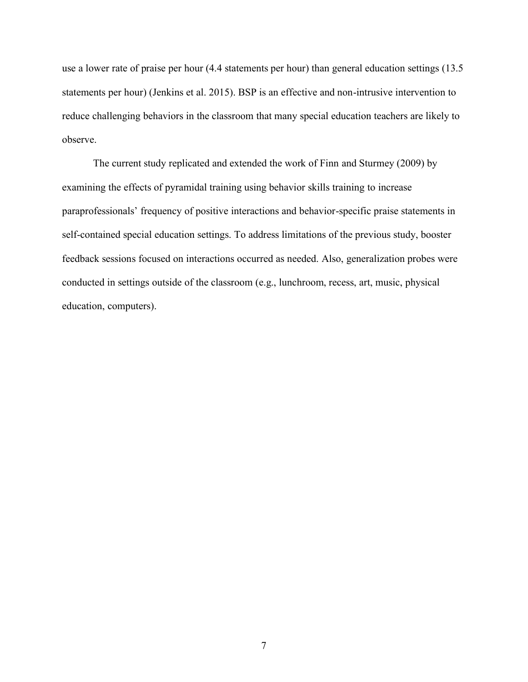use a lower rate of praise per hour (4.4 statements per hour) than general education settings (13.5 statements per hour) (Jenkins et al. 2015). BSP is an effective and non-intrusive intervention to reduce challenging behaviors in the classroom that many special education teachers are likely to observe.

The current study replicated and extended the work of Finn and Sturmey (2009) by examining the effects of pyramidal training using behavior skills training to increase paraprofessionals' frequency of positive interactions and behavior-specific praise statements in self-contained special education settings. To address limitations of the previous study, booster feedback sessions focused on interactions occurred as needed. Also, generalization probes were conducted in settings outside of the classroom (e.g., lunchroom, recess, art, music, physical education, computers).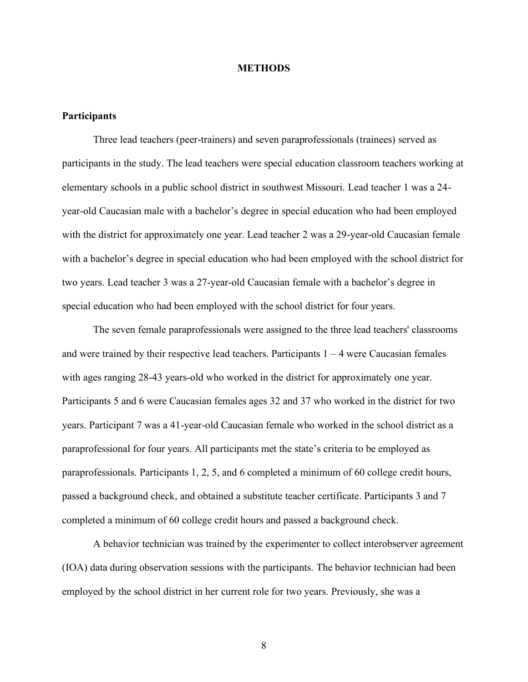#### **METHODS**

#### **Participants**

Three lead teachers (peer-trainers) and seven paraprofessionals (trainees) served as participants in the study. The lead teachers were special education classroom teachers working at elementary schools in a public school district in southwest Missouri. Lead teacher 1 was a 24 year-old Caucasian male with a bachelor's degree in special education who had been employed with the district for approximately one year. Lead teacher 2 was a 29-year-old Caucasian female with a bachelor's degree in special education who had been employed with the school district for two years. Lead teacher 3 was a 27-year-old Caucasian female with a bachelor's degree in special education who had been employed with the school district for four years.

The seven female paraprofessionals were assigned to the three lead teachers' classrooms and were trained by their respective lead teachers. Participants  $1 - 4$  were Caucasian females with ages ranging 28-43 years-old who worked in the district for approximately one year. Participants 5 and 6 were Caucasian females ages 32 and 37 who worked in the district for two years. Participant 7 was a 41-year-old Caucasian female who worked in the school district as a paraprofessional for four years. All participants met the state's criteria to be employed as paraprofessionals. Participants 1, 2, 5, and 6 completed a minimum of 60 college credit hours, passed a background check, and obtained a substitute teacher certificate. Participants 3 and 7 completed a minimum of 60 college credit hours and passed a background check.

A behavior technician was trained by the experimenter to collect interobserver agreement (IOA) data during observation sessions with the participants. The behavior technician had been employed by the school district in her current role for two years. Previously, she was a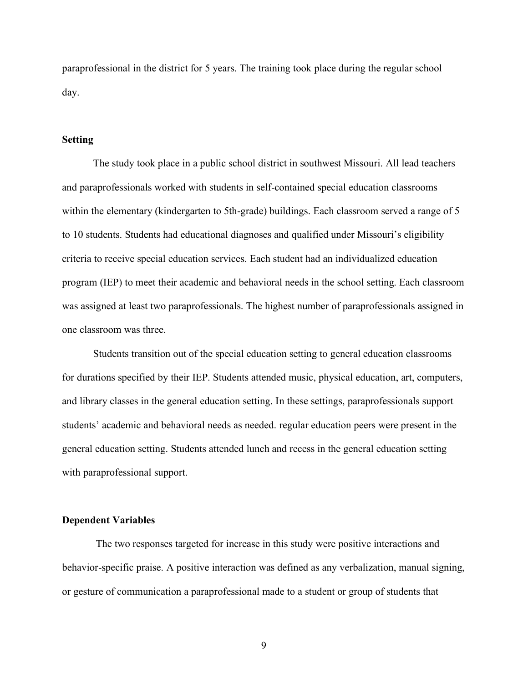paraprofessional in the district for 5 years. The training took place during the regular school day.

#### **Setting**

The study took place in a public school district in southwest Missouri. All lead teachers and paraprofessionals worked with students in self-contained special education classrooms within the elementary (kindergarten to 5th-grade) buildings. Each classroom served a range of 5 to 10 students. Students had educational diagnoses and qualified under Missouri's eligibility criteria to receive special education services. Each student had an individualized education program (IEP) to meet their academic and behavioral needs in the school setting. Each classroom was assigned at least two paraprofessionals. The highest number of paraprofessionals assigned in one classroom was three.

Students transition out of the special education setting to general education classrooms for durations specified by their IEP. Students attended music, physical education, art, computers, and library classes in the general education setting. In these settings, paraprofessionals support students' academic and behavioral needs as needed. regular education peers were present in the general education setting. Students attended lunch and recess in the general education setting with paraprofessional support.

#### **Dependent Variables**

The two responses targeted for increase in this study were positive interactions and behavior-specific praise. A positive interaction was defined as any verbalization, manual signing, or gesture of communication a paraprofessional made to a student or group of students that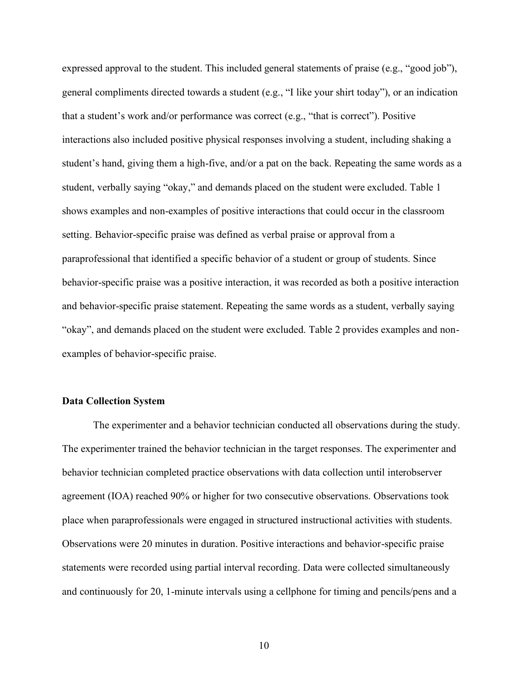expressed approval to the student. This included general statements of praise (e.g., "good job"), general compliments directed towards a student (e.g., "I like your shirt today"), or an indication that a student's work and/or performance was correct (e.g., "that is correct"). Positive interactions also included positive physical responses involving a student, including shaking a student's hand, giving them a high-five, and/or a pat on the back. Repeating the same words as a student, verbally saying "okay," and demands placed on the student were excluded. Table 1 shows examples and non-examples of positive interactions that could occur in the classroom setting. Behavior-specific praise was defined as verbal praise or approval from a paraprofessional that identified a specific behavior of a student or group of students. Since behavior-specific praise was a positive interaction, it was recorded as both a positive interaction and behavior-specific praise statement. Repeating the same words as a student, verbally saying "okay", and demands placed on the student were excluded. Table 2 provides examples and nonexamples of behavior-specific praise.

#### **Data Collection System**

The experimenter and a behavior technician conducted all observations during the study. The experimenter trained the behavior technician in the target responses. The experimenter and behavior technician completed practice observations with data collection until interobserver agreement (IOA) reached 90% or higher for two consecutive observations. Observations took place when paraprofessionals were engaged in structured instructional activities with students. Observations were 20 minutes in duration. Positive interactions and behavior-specific praise statements were recorded using partial interval recording. Data were collected simultaneously and continuously for 20, 1-minute intervals using a cellphone for timing and pencils/pens and a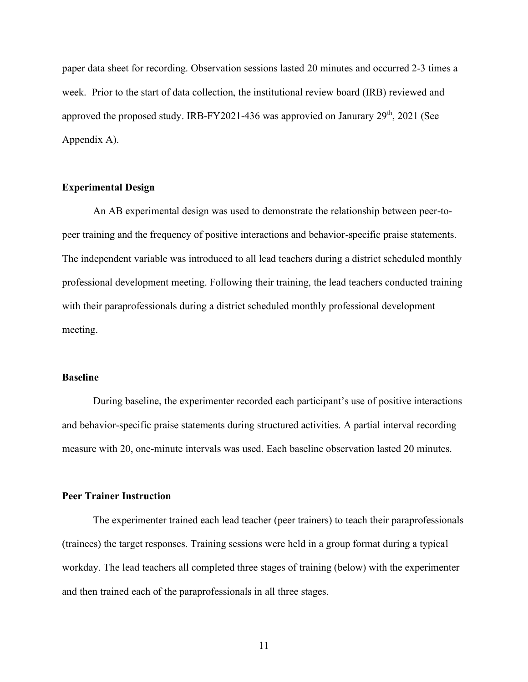paper data sheet for recording. Observation sessions lasted 20 minutes and occurred 2-3 times a week. Prior to the start of data collection, the institutional review board (IRB) reviewed and approved the proposed study. IRB-FY2021-436 was approvied on Janurary  $29<sup>th</sup>$ ,  $2021$  (See Appendix A).

#### **Experimental Design**

An AB experimental design was used to demonstrate the relationship between peer-topeer training and the frequency of positive interactions and behavior-specific praise statements. The independent variable was introduced to all lead teachers during a district scheduled monthly professional development meeting. Following their training, the lead teachers conducted training with their paraprofessionals during a district scheduled monthly professional development meeting.

#### **Baseline**

During baseline, the experimenter recorded each participant's use of positive interactions and behavior-specific praise statements during structured activities. A partial interval recording measure with 20, one-minute intervals was used. Each baseline observation lasted 20 minutes.

#### **Peer Trainer Instruction**

The experimenter trained each lead teacher (peer trainers) to teach their paraprofessionals (trainees) the target responses. Training sessions were held in a group format during a typical workday. The lead teachers all completed three stages of training (below) with the experimenter and then trained each of the paraprofessionals in all three stages.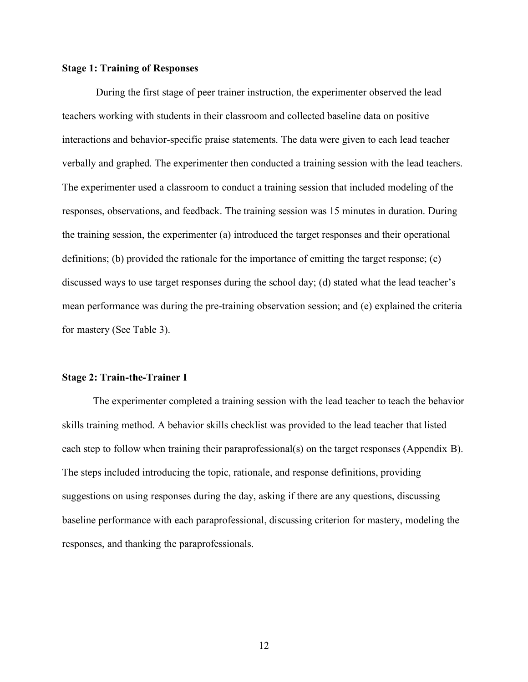#### **Stage 1: Training of Responses**

During the first stage of peer trainer instruction, the experimenter observed the lead teachers working with students in their classroom and collected baseline data on positive interactions and behavior-specific praise statements. The data were given to each lead teacher verbally and graphed. The experimenter then conducted a training session with the lead teachers. The experimenter used a classroom to conduct a training session that included modeling of the responses, observations, and feedback. The training session was 15 minutes in duration. During the training session, the experimenter (a) introduced the target responses and their operational definitions; (b) provided the rationale for the importance of emitting the target response; (c) discussed ways to use target responses during the school day; (d) stated what the lead teacher's mean performance was during the pre-training observation session; and (e) explained the criteria for mastery (See Table 3).

#### **Stage 2: Train-the-Trainer I**

The experimenter completed a training session with the lead teacher to teach the behavior skills training method. A behavior skills checklist was provided to the lead teacher that listed each step to follow when training their paraprofessional(s) on the target responses (Appendix B). The steps included introducing the topic, rationale, and response definitions, providing suggestions on using responses during the day, asking if there are any questions, discussing baseline performance with each paraprofessional, discussing criterion for mastery, modeling the responses, and thanking the paraprofessionals.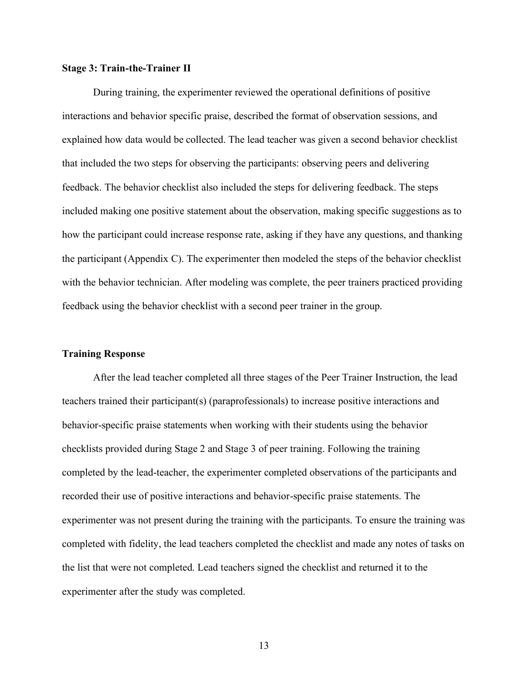#### **Stage 3: Train-the-Trainer II**

During training, the experimenter reviewed the operational definitions of positive interactions and behavior specific praise, described the format of observation sessions, and explained how data would be collected. The lead teacher was given a second behavior checklist that included the two steps for observing the participants: observing peers and delivering feedback. The behavior checklist also included the steps for delivering feedback. The steps included making one positive statement about the observation, making specific suggestions as to how the participant could increase response rate, asking if they have any questions, and thanking the participant (Appendix C). The experimenter then modeled the steps of the behavior checklist with the behavior technician. After modeling was complete, the peer trainers practiced providing feedback using the behavior checklist with a second peer trainer in the group.

#### **Training Response**

After the lead teacher completed all three stages of the Peer Trainer Instruction, the lead teachers trained their participant(s) (paraprofessionals) to increase positive interactions and behavior-specific praise statements when working with their students using the behavior checklists provided during Stage 2 and Stage 3 of peer training. Following the training completed by the lead-teacher, the experimenter completed observations of the participants and recorded their use of positive interactions and behavior-specific praise statements. The experimenter was not present during the training with the participants. To ensure the training was completed with fidelity, the lead teachers completed the checklist and made any notes of tasks on the list that were not completed. Lead teachers signed the checklist and returned it to the experimenter after the study was completed.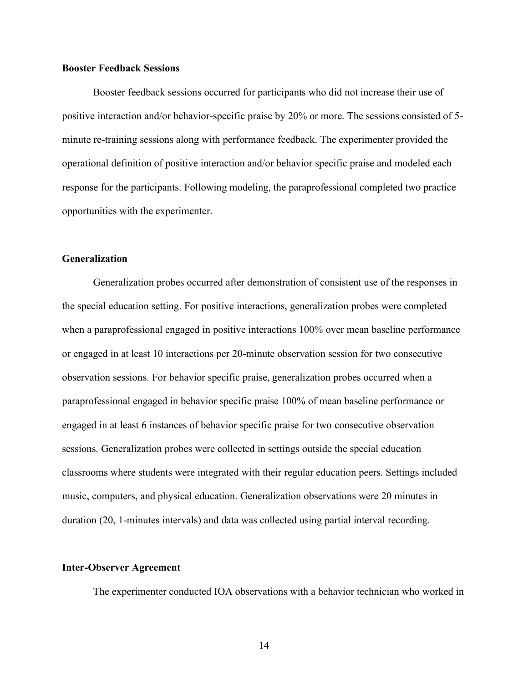#### **Booster Feedback Sessions**

Booster feedback sessions occurred for participants who did not increase their use of positive interaction and/or behavior-specific praise by 20% or more. The sessions consisted of 5 minute re-training sessions along with performance feedback. The experimenter provided the operational definition of positive interaction and/or behavior specific praise and modeled each response for the participants. Following modeling, the paraprofessional completed two practice opportunities with the experimenter.

#### **Generalization**

Generalization probes occurred after demonstration of consistent use of the responses in the special education setting. For positive interactions, generalization probes were completed when a paraprofessional engaged in positive interactions 100% over mean baseline performance or engaged in at least 10 interactions per 20-minute observation session for two consecutive observation sessions. For behavior specific praise, generalization probes occurred when a paraprofessional engaged in behavior specific praise 100% of mean baseline performance or engaged in at least 6 instances of behavior specific praise for two consecutive observation sessions. Generalization probes were collected in settings outside the special education classrooms where students were integrated with their regular education peers. Settings included music, computers, and physical education. Generalization observations were 20 minutes in duration (20, 1-minutes intervals) and data was collected using partial interval recording.

#### **Inter-Observer Agreement**

The experimenter conducted IOA observations with a behavior technician who worked in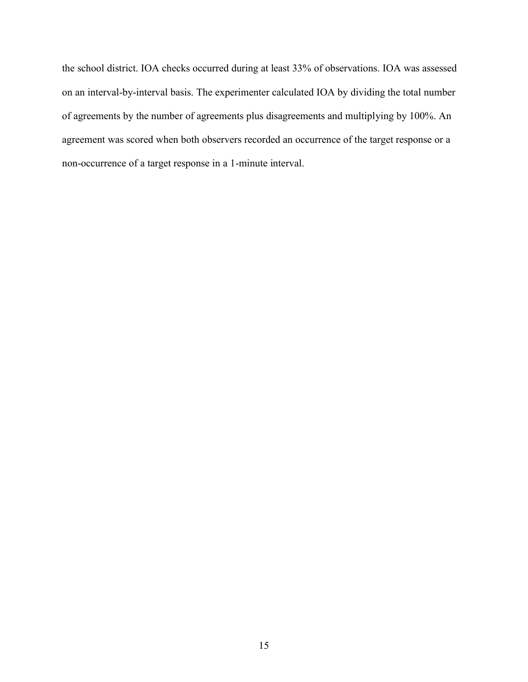the school district. IOA checks occurred during at least 33% of observations. IOA was assessed on an interval-by-interval basis. The experimenter calculated IOA by dividing the total number of agreements by the number of agreements plus disagreements and multiplying by 100%. An agreement was scored when both observers recorded an occurrence of the target response or a non-occurrence of a target response in a 1-minute interval.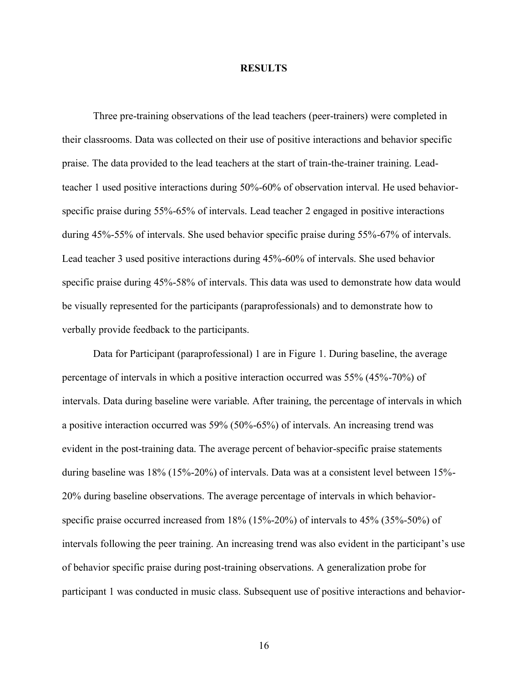#### **RESULTS**

Three pre-training observations of the lead teachers (peer-trainers) were completed in their classrooms. Data was collected on their use of positive interactions and behavior specific praise. The data provided to the lead teachers at the start of train-the-trainer training. Leadteacher 1 used positive interactions during 50%-60% of observation interval. He used behaviorspecific praise during 55%-65% of intervals. Lead teacher 2 engaged in positive interactions during 45%-55% of intervals. She used behavior specific praise during 55%-67% of intervals. Lead teacher 3 used positive interactions during 45%-60% of intervals. She used behavior specific praise during 45%-58% of intervals. This data was used to demonstrate how data would be visually represented for the participants (paraprofessionals) and to demonstrate how to verbally provide feedback to the participants.

Data for Participant (paraprofessional) 1 are in Figure 1. During baseline, the average percentage of intervals in which a positive interaction occurred was 55% (45%-70%) of intervals. Data during baseline were variable. After training, the percentage of intervals in which a positive interaction occurred was 59% (50%-65%) of intervals. An increasing trend was evident in the post-training data. The average percent of behavior-specific praise statements during baseline was 18% (15%-20%) of intervals. Data was at a consistent level between 15%- 20% during baseline observations. The average percentage of intervals in which behaviorspecific praise occurred increased from 18% (15%-20%) of intervals to 45% (35%-50%) of intervals following the peer training. An increasing trend was also evident in the participant's use of behavior specific praise during post-training observations. A generalization probe for participant 1 was conducted in music class. Subsequent use of positive interactions and behavior-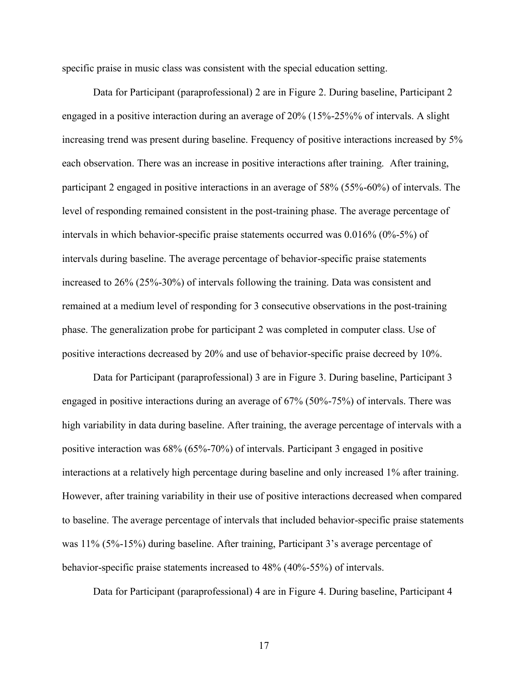specific praise in music class was consistent with the special education setting.

Data for Participant (paraprofessional) 2 are in Figure 2. During baseline, Participant 2 engaged in a positive interaction during an average of 20% (15%-25%% of intervals. A slight increasing trend was present during baseline. Frequency of positive interactions increased by 5% each observation. There was an increase in positive interactions after training. After training, participant 2 engaged in positive interactions in an average of 58% (55%-60%) of intervals. The level of responding remained consistent in the post-training phase. The average percentage of intervals in which behavior-specific praise statements occurred was 0.016% (0%-5%) of intervals during baseline. The average percentage of behavior-specific praise statements increased to 26% (25%-30%) of intervals following the training. Data was consistent and remained at a medium level of responding for 3 consecutive observations in the post-training phase. The generalization probe for participant 2 was completed in computer class. Use of positive interactions decreased by 20% and use of behavior-specific praise decreed by 10%.

Data for Participant (paraprofessional) 3 are in Figure 3. During baseline, Participant 3 engaged in positive interactions during an average of 67% (50%-75%) of intervals. There was high variability in data during baseline. After training, the average percentage of intervals with a positive interaction was 68% (65%-70%) of intervals. Participant 3 engaged in positive interactions at a relatively high percentage during baseline and only increased 1% after training. However, after training variability in their use of positive interactions decreased when compared to baseline. The average percentage of intervals that included behavior-specific praise statements was 11% (5%-15%) during baseline. After training, Participant 3's average percentage of behavior-specific praise statements increased to 48% (40%-55%) of intervals.

Data for Participant (paraprofessional) 4 are in Figure 4. During baseline, Participant 4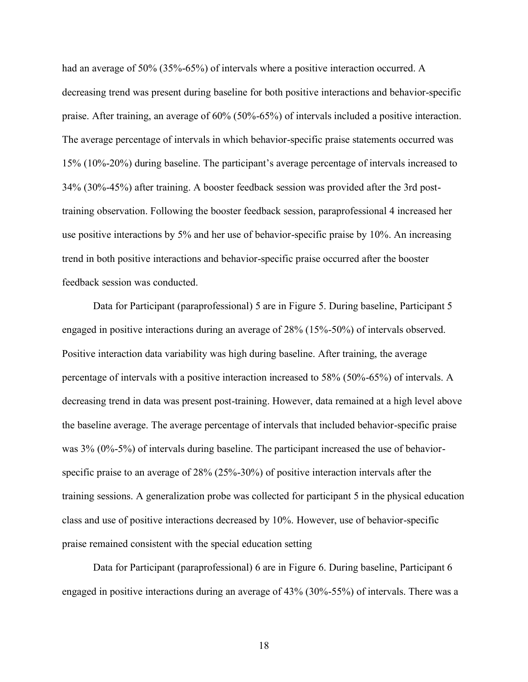had an average of 50% (35%-65%) of intervals where a positive interaction occurred. A decreasing trend was present during baseline for both positive interactions and behavior-specific praise. After training, an average of 60% (50%-65%) of intervals included a positive interaction. The average percentage of intervals in which behavior-specific praise statements occurred was 15% (10%-20%) during baseline. The participant's average percentage of intervals increased to 34% (30%-45%) after training. A booster feedback session was provided after the 3rd posttraining observation. Following the booster feedback session, paraprofessional 4 increased her use positive interactions by 5% and her use of behavior-specific praise by 10%. An increasing trend in both positive interactions and behavior-specific praise occurred after the booster feedback session was conducted.

Data for Participant (paraprofessional) 5 are in Figure 5. During baseline, Participant 5 engaged in positive interactions during an average of 28% (15%-50%) of intervals observed. Positive interaction data variability was high during baseline. After training, the average percentage of intervals with a positive interaction increased to 58% (50%-65%) of intervals. A decreasing trend in data was present post-training. However, data remained at a high level above the baseline average. The average percentage of intervals that included behavior-specific praise was 3% (0%-5%) of intervals during baseline. The participant increased the use of behaviorspecific praise to an average of 28% (25%-30%) of positive interaction intervals after the training sessions. A generalization probe was collected for participant 5 in the physical education class and use of positive interactions decreased by 10%. However, use of behavior-specific praise remained consistent with the special education setting

Data for Participant (paraprofessional) 6 are in Figure 6. During baseline, Participant 6 engaged in positive interactions during an average of 43% (30%-55%) of intervals. There was a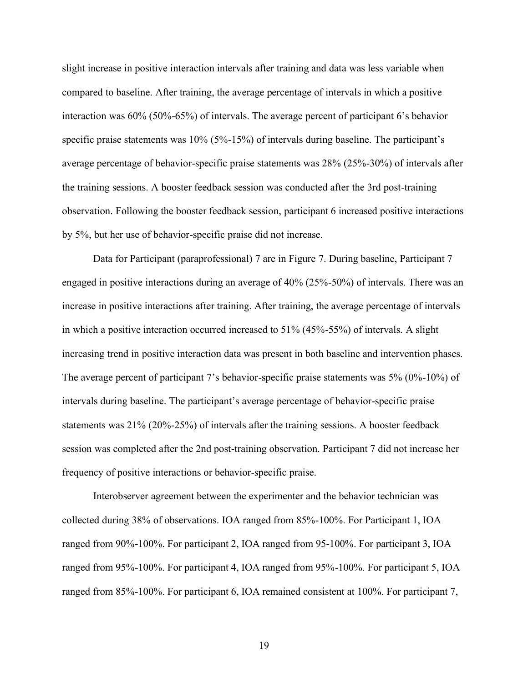slight increase in positive interaction intervals after training and data was less variable when compared to baseline. After training, the average percentage of intervals in which a positive interaction was 60% (50%-65%) of intervals. The average percent of participant 6's behavior specific praise statements was 10% (5%-15%) of intervals during baseline. The participant's average percentage of behavior-specific praise statements was 28% (25%-30%) of intervals after the training sessions. A booster feedback session was conducted after the 3rd post-training observation. Following the booster feedback session, participant 6 increased positive interactions by 5%, but her use of behavior-specific praise did not increase.

Data for Participant (paraprofessional) 7 are in Figure 7. During baseline, Participant 7 engaged in positive interactions during an average of 40% (25%-50%) of intervals. There was an increase in positive interactions after training. After training, the average percentage of intervals in which a positive interaction occurred increased to 51% (45%-55%) of intervals. A slight increasing trend in positive interaction data was present in both baseline and intervention phases. The average percent of participant 7's behavior-specific praise statements was 5% (0%-10%) of intervals during baseline. The participant's average percentage of behavior-specific praise statements was 21% (20%-25%) of intervals after the training sessions. A booster feedback session was completed after the 2nd post-training observation. Participant 7 did not increase her frequency of positive interactions or behavior-specific praise.

Interobserver agreement between the experimenter and the behavior technician was collected during 38% of observations. IOA ranged from 85%-100%. For Participant 1, IOA ranged from 90%-100%. For participant 2, IOA ranged from 95-100%. For participant 3, IOA ranged from 95%-100%. For participant 4, IOA ranged from 95%-100%. For participant 5, IOA ranged from 85%-100%. For participant 6, IOA remained consistent at 100%. For participant 7,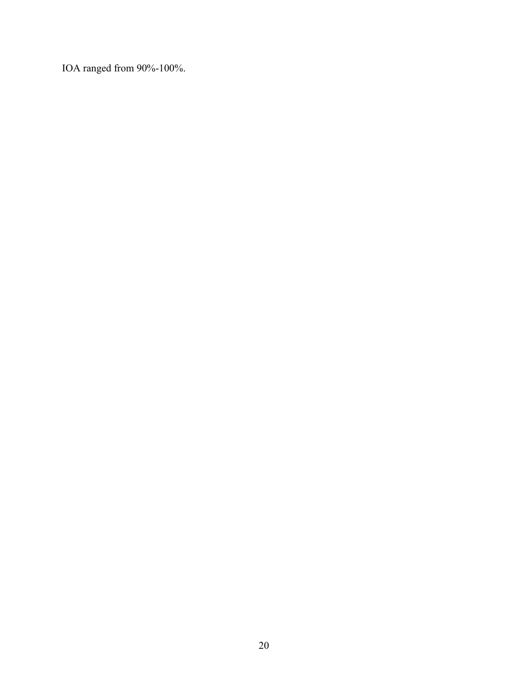IOA ranged from 90%-100%.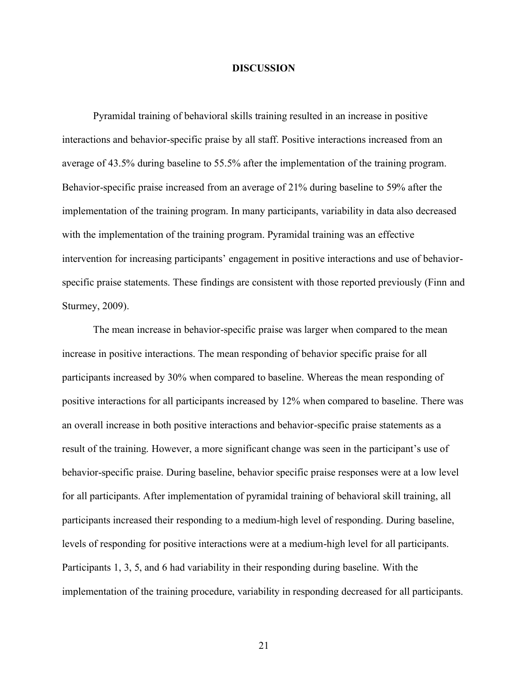#### **DISCUSSION**

Pyramidal training of behavioral skills training resulted in an increase in positive interactions and behavior-specific praise by all staff. Positive interactions increased from an average of 43.5% during baseline to 55.5% after the implementation of the training program. Behavior-specific praise increased from an average of 21% during baseline to 59% after the implementation of the training program. In many participants, variability in data also decreased with the implementation of the training program. Pyramidal training was an effective intervention for increasing participants' engagement in positive interactions and use of behaviorspecific praise statements. These findings are consistent with those reported previously (Finn and Sturmey, 2009).

The mean increase in behavior-specific praise was larger when compared to the mean increase in positive interactions. The mean responding of behavior specific praise for all participants increased by 30% when compared to baseline. Whereas the mean responding of positive interactions for all participants increased by 12% when compared to baseline. There was an overall increase in both positive interactions and behavior-specific praise statements as a result of the training. However, a more significant change was seen in the participant's use of behavior-specific praise. During baseline, behavior specific praise responses were at a low level for all participants. After implementation of pyramidal training of behavioral skill training, all participants increased their responding to a medium-high level of responding. During baseline, levels of responding for positive interactions were at a medium-high level for all participants. Participants 1, 3, 5, and 6 had variability in their responding during baseline. With the implementation of the training procedure, variability in responding decreased for all participants.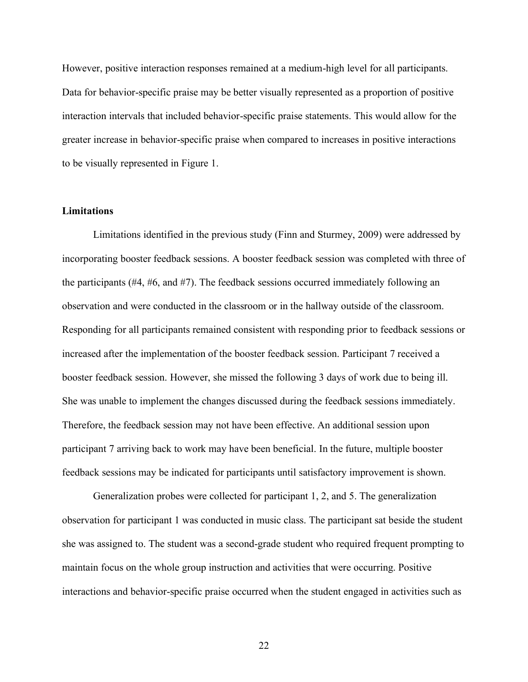However, positive interaction responses remained at a medium-high level for all participants. Data for behavior-specific praise may be better visually represented as a proportion of positive interaction intervals that included behavior-specific praise statements. This would allow for the greater increase in behavior-specific praise when compared to increases in positive interactions to be visually represented in Figure 1.

#### **Limitations**

Limitations identified in the previous study (Finn and Sturmey, 2009) were addressed by incorporating booster feedback sessions. A booster feedback session was completed with three of the participants (#4, #6, and #7). The feedback sessions occurred immediately following an observation and were conducted in the classroom or in the hallway outside of the classroom. Responding for all participants remained consistent with responding prior to feedback sessions or increased after the implementation of the booster feedback session. Participant 7 received a booster feedback session. However, she missed the following 3 days of work due to being ill. She was unable to implement the changes discussed during the feedback sessions immediately. Therefore, the feedback session may not have been effective. An additional session upon participant 7 arriving back to work may have been beneficial. In the future, multiple booster feedback sessions may be indicated for participants until satisfactory improvement is shown.

Generalization probes were collected for participant 1, 2, and 5. The generalization observation for participant 1 was conducted in music class. The participant sat beside the student she was assigned to. The student was a second-grade student who required frequent prompting to maintain focus on the whole group instruction and activities that were occurring. Positive interactions and behavior-specific praise occurred when the student engaged in activities such as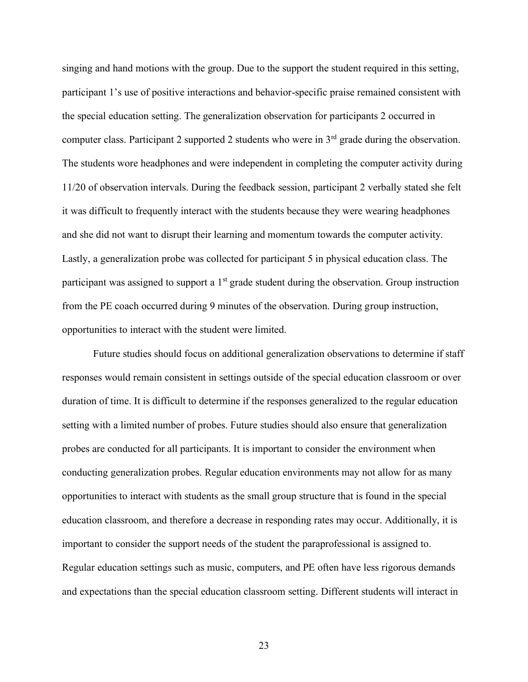singing and hand motions with the group. Due to the support the student required in this setting, participant 1's use of positive interactions and behavior-specific praise remained consistent with the special education setting. The generalization observation for participants 2 occurred in computer class. Participant 2 supported 2 students who were in  $3<sup>rd</sup>$  grade during the observation. The students wore headphones and were independent in completing the computer activity during 11/20 of observation intervals. During the feedback session, participant 2 verbally stated she felt it was difficult to frequently interact with the students because they were wearing headphones and she did not want to disrupt their learning and momentum towards the computer activity. Lastly, a generalization probe was collected for participant 5 in physical education class. The participant was assigned to support a 1<sup>st</sup> grade student during the observation. Group instruction from the PE coach occurred during 9 minutes of the observation. During group instruction, opportunities to interact with the student were limited.

Future studies should focus on additional generalization observations to determine if staff responses would remain consistent in settings outside of the special education classroom or over duration of time. It is difficult to determine if the responses generalized to the regular education setting with a limited number of probes. Future studies should also ensure that generalization probes are conducted for all participants. It is important to consider the environment when conducting generalization probes. Regular education environments may not allow for as many opportunities to interact with students as the small group structure that is found in the special education classroom, and therefore a decrease in responding rates may occur. Additionally, it is important to consider the support needs of the student the paraprofessional is assigned to. Regular education settings such as music, computers, and PE often have less rigorous demands and expectations than the special education classroom setting. Different students will interact in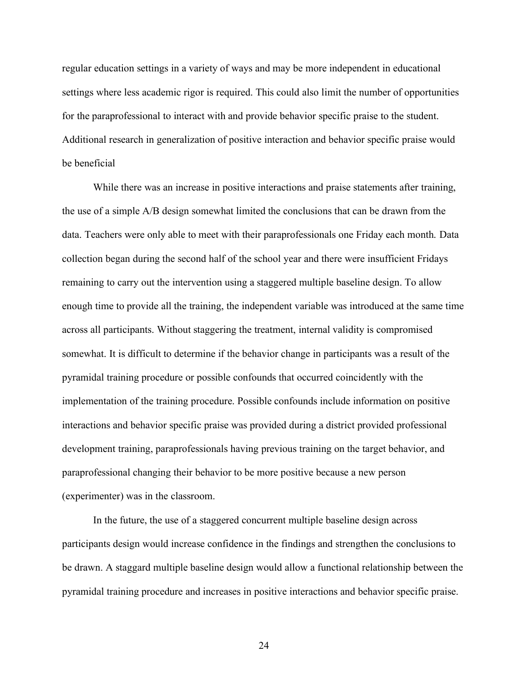regular education settings in a variety of ways and may be more independent in educational settings where less academic rigor is required. This could also limit the number of opportunities for the paraprofessional to interact with and provide behavior specific praise to the student. Additional research in generalization of positive interaction and behavior specific praise would be beneficial

While there was an increase in positive interactions and praise statements after training, the use of a simple A/B design somewhat limited the conclusions that can be drawn from the data. Teachers were only able to meet with their paraprofessionals one Friday each month. Data collection began during the second half of the school year and there were insufficient Fridays remaining to carry out the intervention using a staggered multiple baseline design. To allow enough time to provide all the training, the independent variable was introduced at the same time across all participants. Without staggering the treatment, internal validity is compromised somewhat. It is difficult to determine if the behavior change in participants was a result of the pyramidal training procedure or possible confounds that occurred coincidently with the implementation of the training procedure. Possible confounds include information on positive interactions and behavior specific praise was provided during a district provided professional development training, paraprofessionals having previous training on the target behavior, and paraprofessional changing their behavior to be more positive because a new person (experimenter) was in the classroom.

In the future, the use of a staggered concurrent multiple baseline design across participants design would increase confidence in the findings and strengthen the conclusions to be drawn. A staggard multiple baseline design would allow a functional relationship between the pyramidal training procedure and increases in positive interactions and behavior specific praise.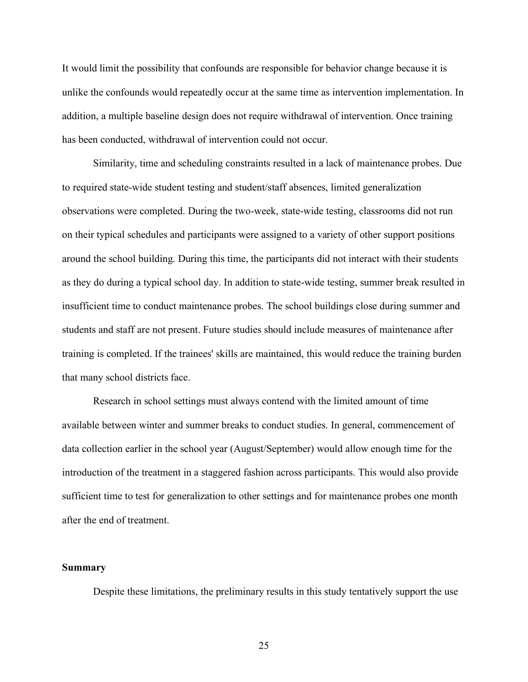It would limit the possibility that confounds are responsible for behavior change because it is unlike the confounds would repeatedly occur at the same time as intervention implementation. In addition, a multiple baseline design does not require withdrawal of intervention. Once training has been conducted, withdrawal of intervention could not occur.

Similarity, time and scheduling constraints resulted in a lack of maintenance probes. Due to required state-wide student testing and student/staff absences, limited generalization observations were completed. During the two-week, state-wide testing, classrooms did not run on their typical schedules and participants were assigned to a variety of other support positions around the school building. During this time, the participants did not interact with their students as they do during a typical school day. In addition to state-wide testing, summer break resulted in insufficient time to conduct maintenance probes. The school buildings close during summer and students and staff are not present. Future studies should include measures of maintenance after training is completed. If the trainees' skills are maintained, this would reduce the training burden that many school districts face.

Research in school settings must always contend with the limited amount of time available between winter and summer breaks to conduct studies. In general, commencement of data collection earlier in the school year (August/September) would allow enough time for the introduction of the treatment in a staggered fashion across participants. This would also provide sufficient time to test for generalization to other settings and for maintenance probes one month after the end of treatment.

#### **Summary**

Despite these limitations, the preliminary results in this study tentatively support the use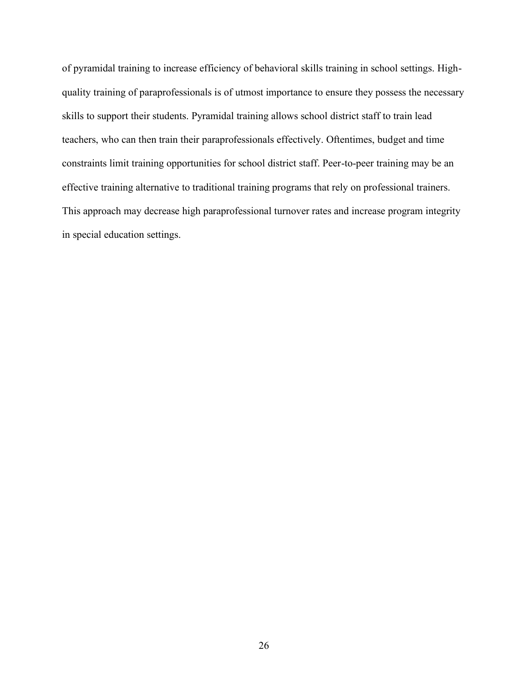of pyramidal training to increase efficiency of behavioral skills training in school settings. Highquality training of paraprofessionals is of utmost importance to ensure they possess the necessary skills to support their students. Pyramidal training allows school district staff to train lead teachers, who can then train their paraprofessionals effectively. Oftentimes, budget and time constraints limit training opportunities for school district staff. Peer-to-peer training may be an effective training alternative to traditional training programs that rely on professional trainers. This approach may decrease high paraprofessional turnover rates and increase program integrity in special education settings.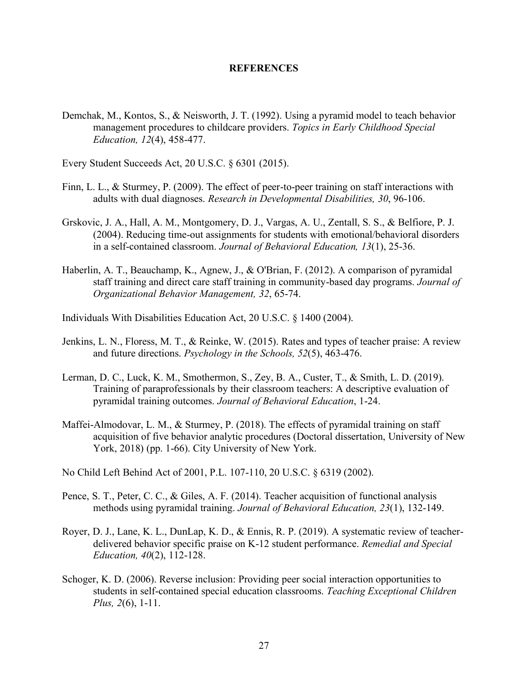#### **REFERENCES**

- Demchak, M., Kontos, S., & Neisworth, J. T. (1992). Using a pyramid model to teach behavior management procedures to childcare providers. *Topics in Early Childhood Special Education, 12*(4), 458-477.
- Every Student Succeeds Act, 20 U.S.C. § 6301 (2015).
- Finn, L. L., & Sturmey, P. (2009). The effect of peer-to-peer training on staff interactions with adults with dual diagnoses. *Research in Developmental Disabilities, 30*, 96-106.
- Grskovic, J. A., Hall, A. M., Montgomery, D. J., Vargas, A. U., Zentall, S. S., & Belfiore, P. J. (2004). Reducing time-out assignments for students with emotional/behavioral disorders in a self-contained classroom. *Journal of Behavioral Education, 13*(1), 25-36.
- Haberlin, A. T., Beauchamp, K., Agnew, J., & O'Brian, F. (2012). A comparison of pyramidal staff training and direct care staff training in community-based day programs. *Journal of Organizational Behavior Management, 32*, 65-74.
- Individuals With Disabilities Education Act, 20 U.S.C. § 1400 (2004).
- Jenkins, L. N., Floress, M. T., & Reinke, W. (2015). Rates and types of teacher praise: A review and future directions. *Psychology in the Schools, 52*(5), 463-476.
- Lerman, D. C., Luck, K. M., Smothermon, S., Zey, B. A., Custer, T., & Smith, L. D. (2019). Training of paraprofessionals by their classroom teachers: A descriptive evaluation of pyramidal training outcomes. *Journal of Behavioral Education*, 1-24.
- Maffei-Almodovar, L. M., & Sturmey, P. (2018). The effects of pyramidal training on staff acquisition of five behavior analytic procedures (Doctoral dissertation, University of New York, 2018) (pp. 1-66). City University of New York.
- No Child Left Behind Act of 2001, P.L. 107-110, 20 U.S.C. § 6319 (2002).
- Pence, S. T., Peter, C. C., & Giles, A. F. (2014). Teacher acquisition of functional analysis methods using pyramidal training. *Journal of Behavioral Education, 23*(1), 132-149.
- Royer, D. J., Lane, K. L., DunLap, K. D., & Ennis, R. P. (2019). A systematic review of teacherdelivered behavior specific praise on K-12 student performance. *Remedial and Special Education, 40*(2), 112-128.
- Schoger, K. D. (2006). Reverse inclusion: Providing peer social interaction opportunities to students in self-contained special education classrooms. *Teaching Exceptional Children Plus, 2*(6), 1-11.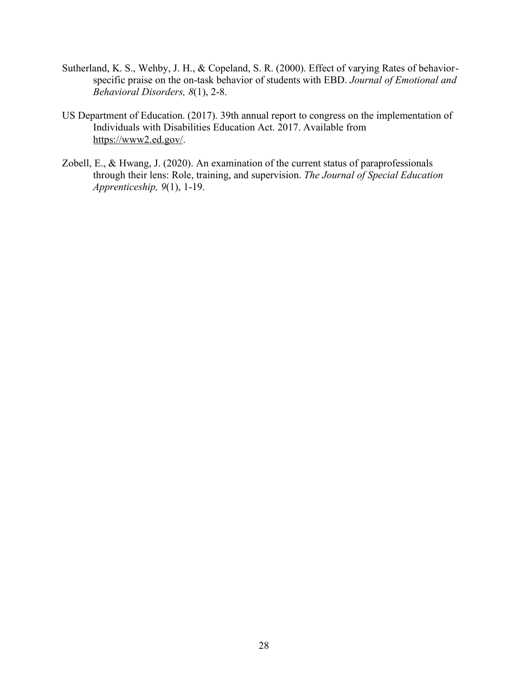- Sutherland, K. S., Wehby, J. H., & Copeland, S. R. (2000). Effect of varying Rates of behaviorspecific praise on the on-task behavior of students with EBD. *Journal of Emotional and Behavioral Disorders, 8*(1), 2-8.
- US Department of Education. (2017). 39th annual report to congress on the implementation of Individuals with Disabilities Education Act. 2017. Available from https://www2.ed.gov/.
- Zobell, E., & Hwang, J. (2020). An examination of the current status of paraprofessionals through their lens: Role, training, and supervision. *The Journal of Special Education Apprenticeship, 9*(1), 1-19.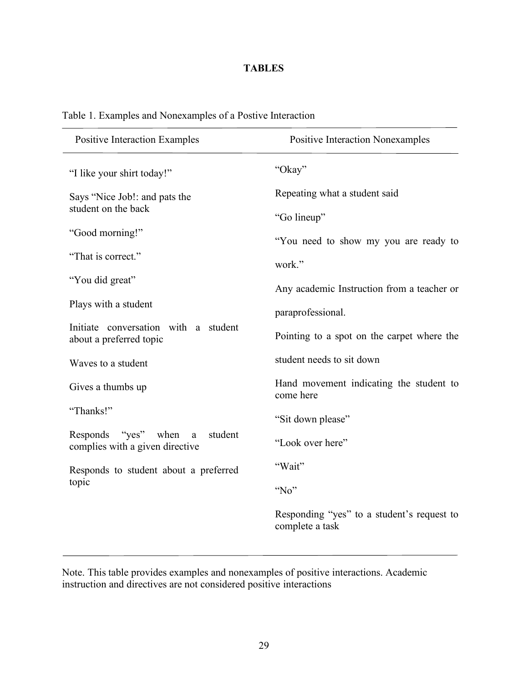### **TABLES**

| <b>Positive Interaction Examples</b>                                      | <b>Positive Interaction Nonexamples</b>                       |
|---------------------------------------------------------------------------|---------------------------------------------------------------|
| "I like your shirt today!"                                                | "Okay"                                                        |
| Says "Nice Job!: and pats the                                             | Repeating what a student said                                 |
| student on the back                                                       | "Go lineup"                                                   |
| "Good morning!"                                                           | "You need to show my you are ready to                         |
| "That is correct."                                                        | work."                                                        |
| "You did great"                                                           | Any academic Instruction from a teacher or                    |
| Plays with a student                                                      | paraprofessional.                                             |
| Initiate conversation with a student<br>about a preferred topic           | Pointing to a spot on the carpet where the                    |
| Waves to a student                                                        | student needs to sit down                                     |
| Gives a thumbs up                                                         | Hand movement indicating the student to<br>come here          |
| "Thanks!"                                                                 | "Sit down please"                                             |
| "yes" when<br>Responds<br>student<br>a<br>complies with a given directive | "Look over here"                                              |
| Responds to student about a preferred                                     | "Wait"                                                        |
| topic                                                                     | "No"                                                          |
|                                                                           | Responding "yes" to a student's request to<br>complete a task |

### Table 1. Examples and Nonexamples of a Postive Interaction

Note. This table provides examples and nonexamples of positive interactions. Academic instruction and directives are not considered positive interactions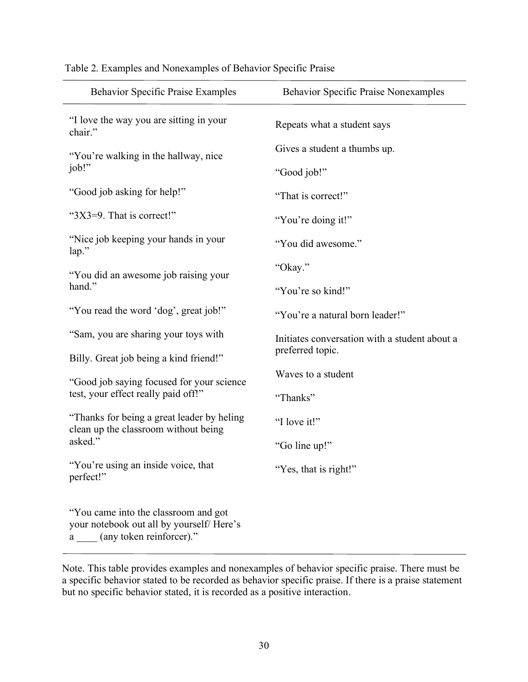| <b>Behavior Specific Praise Examples</b>                                                                          | <b>Behavior Specific Praise Nonexamples</b>   |
|-------------------------------------------------------------------------------------------------------------------|-----------------------------------------------|
| "I love the way you are sitting in your<br>chair."                                                                | Repeats what a student says                   |
| "You're walking in the hallway, nice                                                                              | Gives a student a thumbs up.                  |
| job!"                                                                                                             | "Good job!"                                   |
| "Good job asking for help!"                                                                                       | "That is correct!"                            |
| "3X3=9. That is correct!"                                                                                         | "You're doing it!"                            |
| "Nice job keeping your hands in your<br>$lap.$ "                                                                  | "You did awesome."                            |
| "You did an awesome job raising your                                                                              | "Okay."                                       |
| hand."                                                                                                            | "You're so kind!"                             |
| "You read the word 'dog', great job!"                                                                             | "You're a natural born leader!"               |
| "Sam, you are sharing your toys with                                                                              | Initiates conversation with a student about a |
| Billy. Great job being a kind friend!"                                                                            | preferred topic.                              |
| "Good job saying focused for your science"                                                                        | Waves to a student                            |
| test, your effect really paid off!"                                                                               | "Thanks"                                      |
| "Thanks for being a great leader by heling<br>clean up the classroom without being                                | "I love it!"                                  |
| asked."                                                                                                           | "Go line up!"                                 |
| "You're using an inside voice, that<br>perfect!"                                                                  | "Yes, that is right!"                         |
| "You came into the classroom and got<br>your notebook out all by yourself/Here's<br>(any token reinforcer)."<br>a |                                               |

Table 2. Examples and Nonexamples of Behavior Specific Praise

Note. This table provides examples and nonexamples of behavior specific praise. There must be a specific behavior stated to be recorded as behavior specific praise. If there is a praise statement but no specific behavior stated, it is recorded as a positive interaction.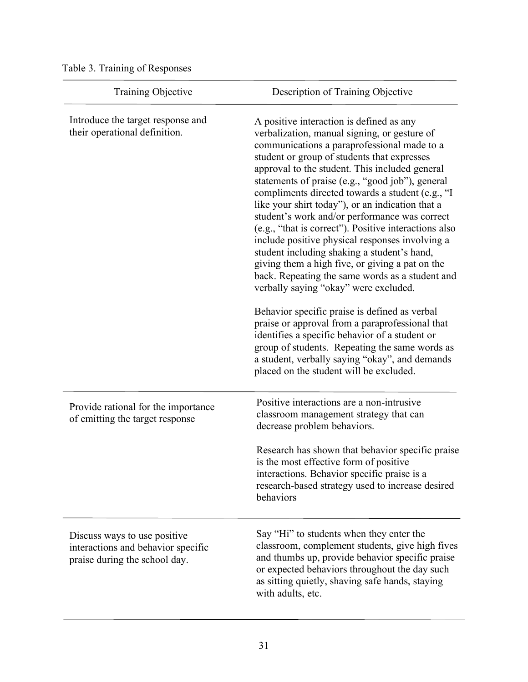Table 3. Training of Responses

| Training Objective                                                                                  | Description of Training Objective                                                                                                                                                                                                                                                                                                                                                                                                                                                                                                                                                                                                                                                                                                                                                                                                                                                                                                                                                                                                                                    |  |
|-----------------------------------------------------------------------------------------------------|----------------------------------------------------------------------------------------------------------------------------------------------------------------------------------------------------------------------------------------------------------------------------------------------------------------------------------------------------------------------------------------------------------------------------------------------------------------------------------------------------------------------------------------------------------------------------------------------------------------------------------------------------------------------------------------------------------------------------------------------------------------------------------------------------------------------------------------------------------------------------------------------------------------------------------------------------------------------------------------------------------------------------------------------------------------------|--|
| Introduce the target response and<br>their operational definition.                                  | A positive interaction is defined as any<br>verbalization, manual signing, or gesture of<br>communications a paraprofessional made to a<br>student or group of students that expresses<br>approval to the student. This included general<br>statements of praise (e.g., "good job"), general<br>compliments directed towards a student (e.g., "I<br>like your shirt today"), or an indication that a<br>student's work and/or performance was correct<br>(e.g., "that is correct"). Positive interactions also<br>include positive physical responses involving a<br>student including shaking a student's hand,<br>giving them a high five, or giving a pat on the<br>back. Repeating the same words as a student and<br>verbally saying "okay" were excluded.<br>Behavior specific praise is defined as verbal<br>praise or approval from a paraprofessional that<br>identifies a specific behavior of a student or<br>group of students. Repeating the same words as<br>a student, verbally saying "okay", and demands<br>placed on the student will be excluded. |  |
| Provide rational for the importance<br>of emitting the target response                              | Positive interactions are a non-intrusive<br>classroom management strategy that can<br>decrease problem behaviors.<br>Research has shown that behavior specific praise<br>is the most effective form of positive<br>interactions. Behavior specific praise is a<br>research-based strategy used to increase desired<br>behaviors                                                                                                                                                                                                                                                                                                                                                                                                                                                                                                                                                                                                                                                                                                                                     |  |
| Discuss ways to use positive<br>interactions and behavior specific<br>praise during the school day. | Say "Hi" to students when they enter the<br>classroom, complement students, give high fives<br>and thumbs up, provide behavior specific praise<br>or expected behaviors throughout the day such<br>as sitting quietly, shaving safe hands, staying<br>with adults, etc.                                                                                                                                                                                                                                                                                                                                                                                                                                                                                                                                                                                                                                                                                                                                                                                              |  |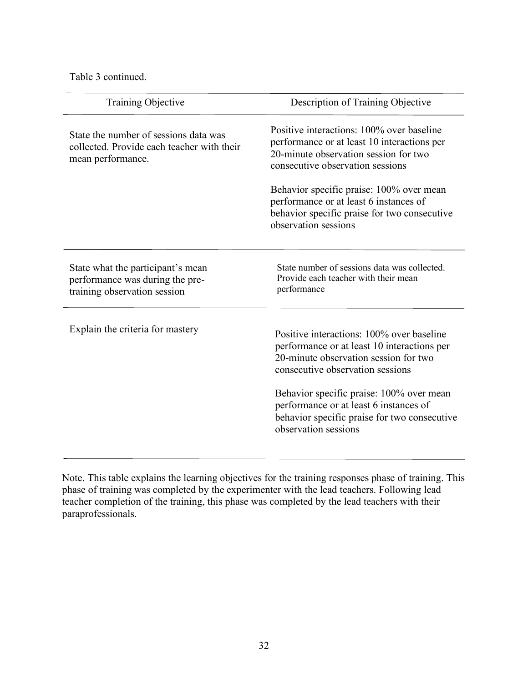Table 3 continued.

| Training Objective                                                                                       | Description of Training Objective                                                                                                                                                                                                                                                                                                   |
|----------------------------------------------------------------------------------------------------------|-------------------------------------------------------------------------------------------------------------------------------------------------------------------------------------------------------------------------------------------------------------------------------------------------------------------------------------|
| State the number of sessions data was<br>collected. Provide each teacher with their<br>mean performance. | Positive interactions: 100% over baseline<br>performance or at least 10 interactions per<br>20-minute observation session for two<br>consecutive observation sessions                                                                                                                                                               |
|                                                                                                          | Behavior specific praise: 100% over mean<br>performance or at least 6 instances of<br>behavior specific praise for two consecutive<br>observation sessions                                                                                                                                                                          |
| State what the participant's mean<br>performance was during the pre-<br>training observation session     | State number of sessions data was collected.<br>Provide each teacher with their mean<br>performance                                                                                                                                                                                                                                 |
| Explain the criteria for mastery                                                                         | Positive interactions: 100% over baseline<br>performance or at least 10 interactions per<br>20-minute observation session for two<br>consecutive observation sessions<br>Behavior specific praise: 100% over mean<br>performance or at least 6 instances of<br>behavior specific praise for two consecutive<br>observation sessions |

Note. This table explains the learning objectives for the training responses phase of training. This phase of training was completed by the experimenter with the lead teachers. Following lead teacher completion of the training, this phase was completed by the lead teachers with their paraprofessionals.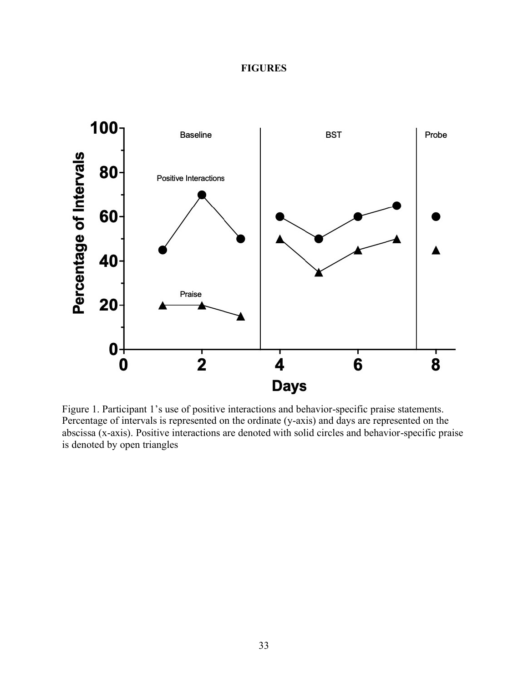### **FIGURES**



Figure 1. Participant 1's use of positive interactions and behavior-specific praise statements. Percentage of intervals is represented on the ordinate (y-axis) and days are represented on the abscissa (x-axis). Positive interactions are denoted with solid circles and behavior-specific praise is denoted by open triangles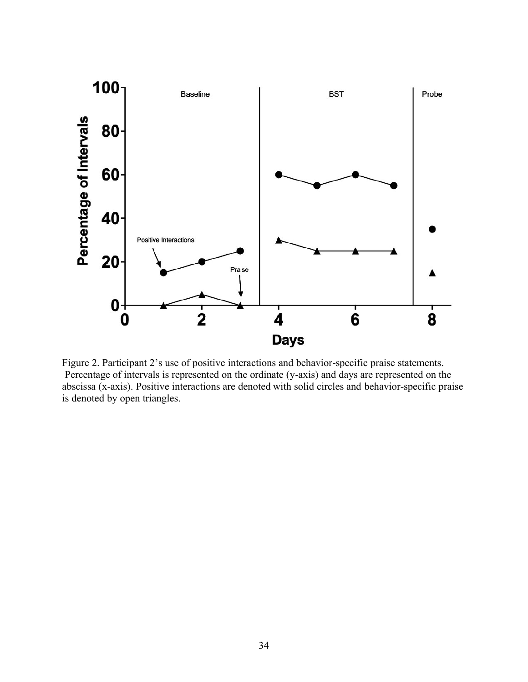

Figure 2. Participant 2's use of positive interactions and behavior-specific praise statements. Percentage of intervals is represented on the ordinate (y-axis) and days are represented on the abscissa (x-axis). Positive interactions are denoted with solid circles and behavior-specific praise is denoted by open triangles.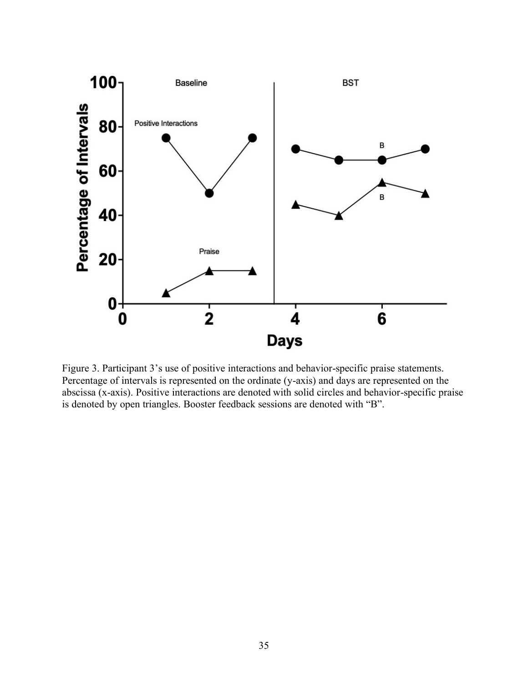

Figure 3. Participant 3's use of positive interactions and behavior-specific praise statements. Percentage of intervals is represented on the ordinate (y-axis) and days are represented on the abscissa (x-axis). Positive interactions are denoted with solid circles and behavior-specific praise is denoted by open triangles. Booster feedback sessions are denoted with "B".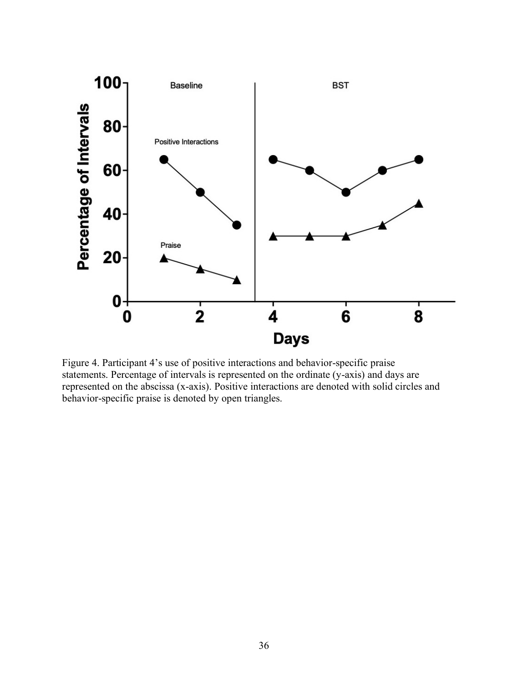

Figure 4. Participant 4's use of positive interactions and behavior-specific praise statements. Percentage of intervals is represented on the ordinate (y-axis) and days are represented on the abscissa (x-axis). Positive interactions are denoted with solid circles and behavior-specific praise is denoted by open triangles.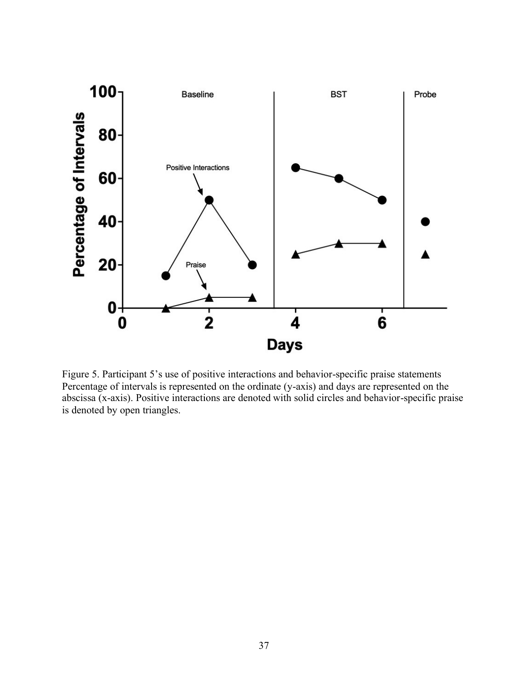

Figure 5. Participant 5's use of positive interactions and behavior-specific praise statements Percentage of intervals is represented on the ordinate (y-axis) and days are represented on the abscissa (x-axis). Positive interactions are denoted with solid circles and behavior-specific praise is denoted by open triangles.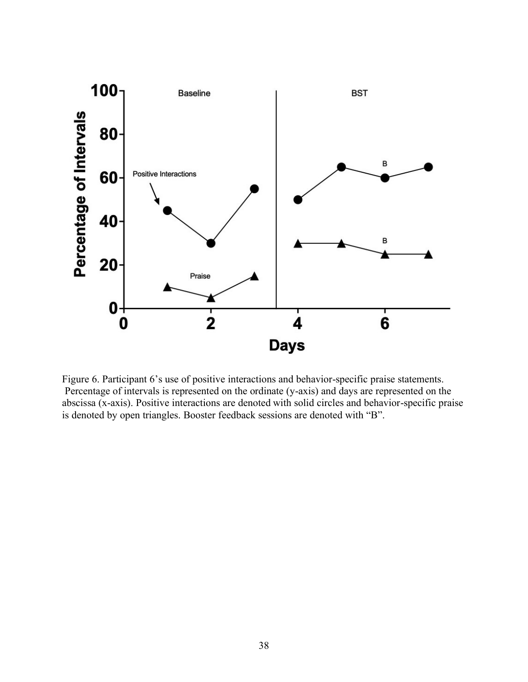

Figure 6. Participant 6's use of positive interactions and behavior-specific praise statements. Percentage of intervals is represented on the ordinate (y-axis) and days are represented on the abscissa (x-axis). Positive interactions are denoted with solid circles and behavior-specific praise is denoted by open triangles. Booster feedback sessions are denoted with "B".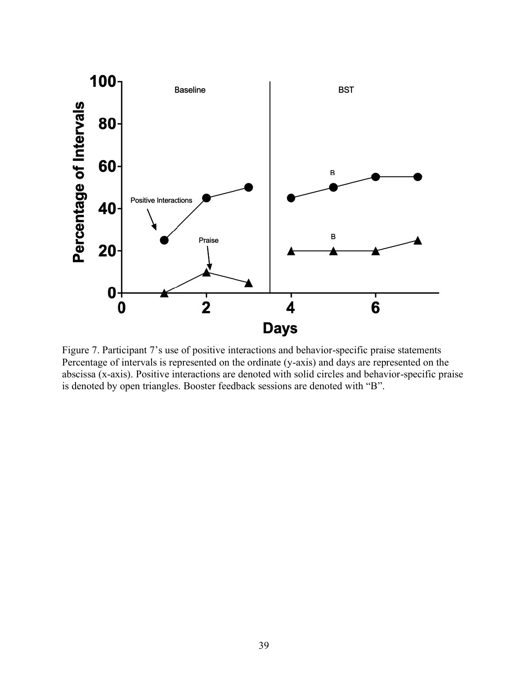

Figure 7. Participant 7's use of positive interactions and behavior-specific praise statements Percentage of intervals is represented on the ordinate (y-axis) and days are represented on the abscissa (x-axis). Positive interactions are denoted with solid circles and behavior-specific praise is denoted by open triangles. Booster feedback sessions are denoted with "B".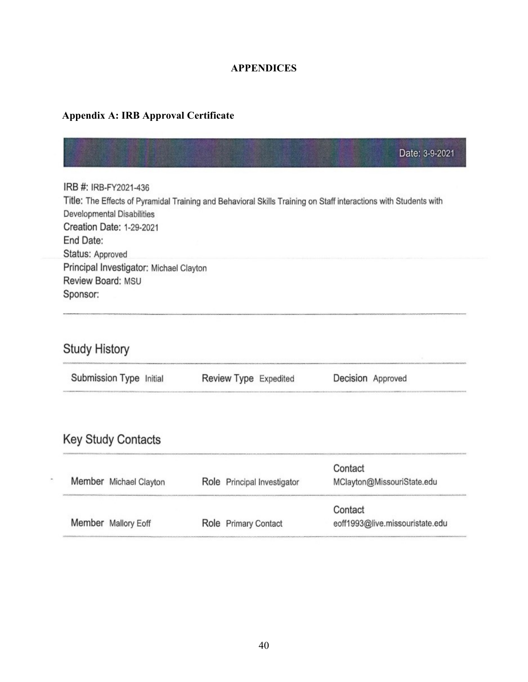### **APPENDICES**

### **Appendix A: IRB Approval Certificate**

|                                                                                                                  | Date: 3-9-2021 |
|------------------------------------------------------------------------------------------------------------------|----------------|
| IRB #: IRB-FY2021-436                                                                                            |                |
| Title: The Effects of Pyramidal Training and Behavioral Skills Training on Staff interactions with Students with |                |
| Developmental Disabilities                                                                                       |                |
| Creation Date: 1-29-2021                                                                                         |                |
| End Date:                                                                                                        |                |
| Status: Approved                                                                                                 |                |
| Principal Investigator: Michael Clayton                                                                          |                |
| Review Board: MSU                                                                                                |                |
| Sponsor:                                                                                                         |                |

# Study History

| Submission Type Initial | Review Type Expedited | Decision Approved |  |
|-------------------------|-----------------------|-------------------|--|
|                         |                       |                   |  |

# Key Study Contacts

 $\overline{\phantom{a}}$ 

| Member Michael Clayton | Role Principal Investigator | Contact<br>MClayton@MissouriState.edu |
|------------------------|-----------------------------|---------------------------------------|
|                        |                             | Contact                               |
| Member Mallory Eoff    | Role Primary Contact        | eoff1993@live.missouristate.edu       |